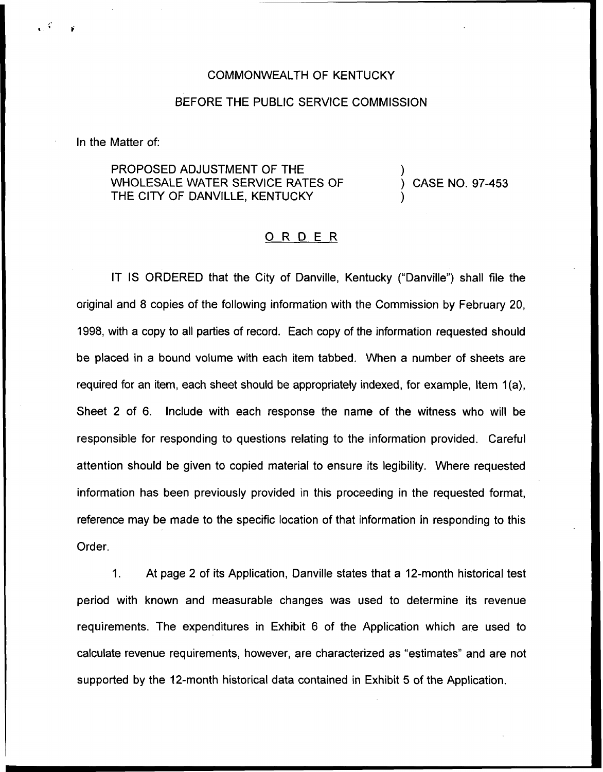## COMMONWEALTH OF KENTUCKY

## BEFORE THE PUBLIC SERVICE COMMISSION

In the Matter of:

PROPOSED ADJUSTMENT OF THE WHOLESALE WATER SERVICE RATES OF THE CITY OF DANVILLE, KENTUCKY

) CASE NO. 97-453

)

)

## ORDER

IT IS ORDERED that the City of Danville, Kentucky ("Danville") shall file the original and 8 copies of the following information with the Commission by February 20, 1998, with a copy to all parties of record. Each copy of the information requested should be placed in a bound volume with each item tabbed. When a number of sheets are required for an item, each sheet should be appropriately indexed, for example, Item 1(a), Sheet 2 of 6. Include with each response the name of the witness who will be responsible for responding to questions relating to the information provided. Careful attention should be given to copied material to ensure its legibility. Where requested information has been previously provided in this proceeding in the requested format, reference may be made to the specific location of that information in responding to this Order.

1. At page 2 of its Application, Danville states that a 12-month historical test period with known and measurable changes was used to determine its revenue requirements. The expenditures in Exhibit 6 of the Application which are used to calculate revenue requirements, however, are characterized as "estimates" and are not supported by the 12-month historical data contained in Exhibit 5 of the Application.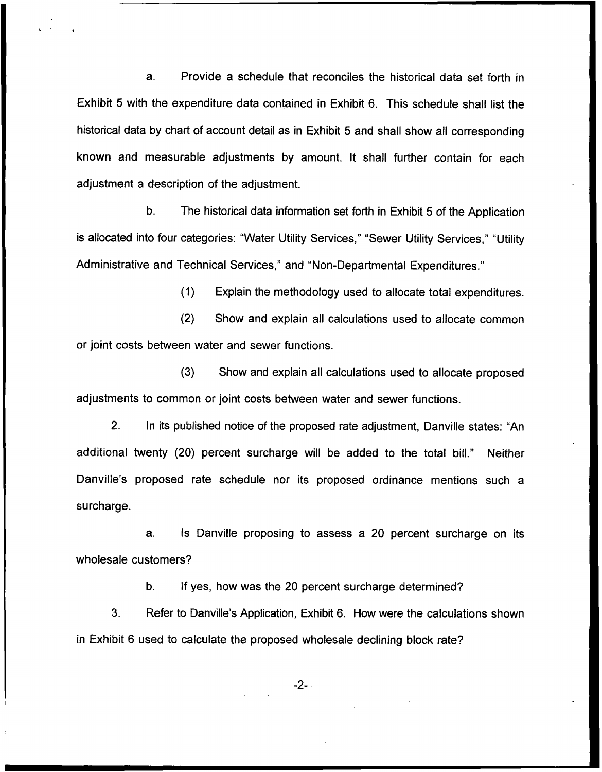a. Provide a schedule that reconciles the historical data set forth in Exhibit 5 with the expenditure data contained in Exhibit 6. This schedule shall list the historical data by chart of account detail as in Exhibit 5 and shall show all corresponding known and measurable adjustments by amount. It shall further contain for each adjustment a description of the adjustment.

b. The historical data information set forth in Exhibit 5 of the Application is allocated into four categories: "Water Utility Services," "Sewer Utility Services," "Utility Administrative and Technical Services," and "Non-Departmental Expenditures."

(1) Explain the methodology used to allocate total expenditures.

(2) Show and explain all calculations used to allocate common or joint costs between water and sewer functions.

(3) Show and explain all calculations used to allocate proposed adjustments to common or joint costs between water and sewer functions.

2. In its published notice of the proposed rate adjustment, Danville states: "An additional twenty (20) percent surcharge will be added to the total bill." Neither Danville's proposed rate schedule nor its proposed ordinance mentions such a surcharge.

a. Is Danville proposing to assess a 20 percent surcharge on its wholesale customers'?

b. If yes, how was the 20 percent surcharge determined?

3. Refer to Danville's Application, Exhibit 6. How were the calculations shown in Exhibit 6 used to calculate the proposed wholesale declining block rate?

-2-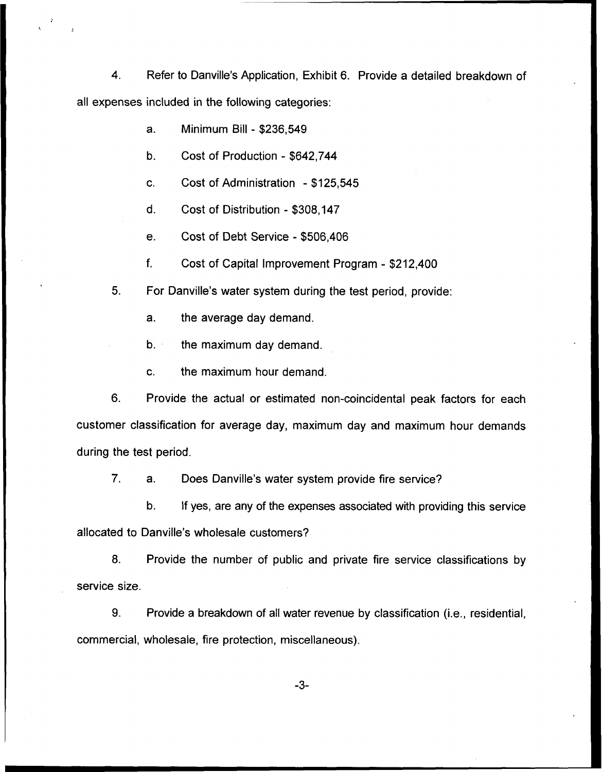4. Refer to Danville's Application, Exhibit 6. Provide a detailed breakdown of all expenses included in the following categories:

- a. Minimum Bill \$236,549
- b. Cost of Production \$642,744
- c. Cost of Administration \$125,545
- d. Cost of Distribution \$308,147
- e. Cost of Debt Service \$506,406
- $f_{\cdot}$ Cost of Capital Improvement Program - \$212,400
- 5. For Danville's water system during the test period, provide:
	- a. the average day demand.
	- b. the maximum day demand.
	- c. the maximum hour demand.

6. Provide the actual or estimated non-coincidental peak factors for each customer classification for average day, maximum day and maximum hour demands during the test period.

7. a. Does Danville's water system provide fire service'?

b. If yes, are any of the expenses associated with providing this service allocated to Danville's wholesale customers?

8. Provide the number of public and private fire service classifications by service size.

9. Provide a breakdown of all water revenue by classification (i.e., residential, commercial, wholesale, fire protection, miscellaneous).

-3-